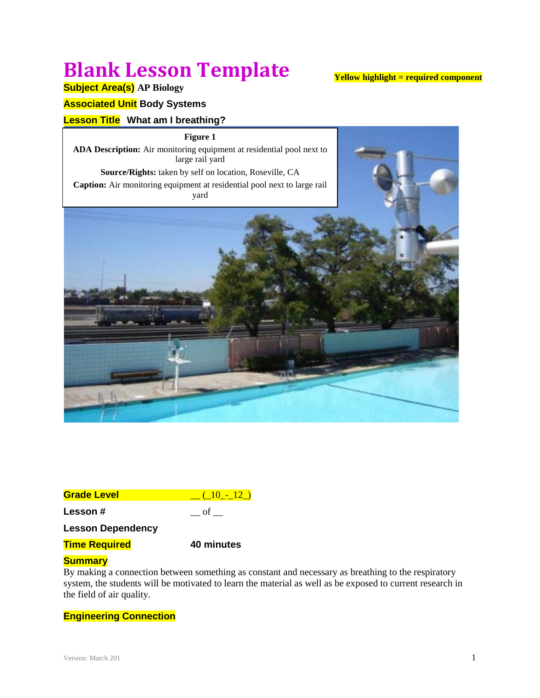# **Blank Lesson Template**

# **Yellow highlight = required component**

# **Subject Area(s) AP Biology**

# **Associated Unit Body Systems**

# **Lesson Title What am I breathing?**

**Figure 1 ADA Description:** Air monitoring equipment at residential pool next to large rail yard **Source/Rights:** taken by self on location, Roseville, CA **Caption:** Air monitoring equipment at residential pool next to large rail yard



| <b>Grade Level</b>       | $(10 - 12)$ |
|--------------------------|-------------|
| Lesson #                 | ot          |
| <b>Lesson Dependency</b> |             |
| <b>Time Required</b>     | 40 minutes  |

# **Summary**

By making a connection between something as constant and necessary as breathing to the respiratory system, the students will be motivated to learn the material as well as be exposed to current research in the field of air quality.

# **Engineering Connection**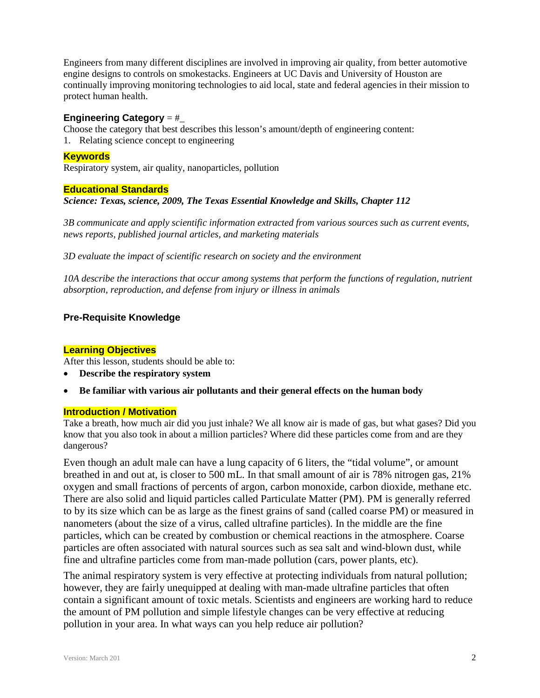Engineers from many different disciplines are involved in improving air quality, from better automotive engine designs to controls on smokestacks. Engineers at UC Davis and University of Houston are continually improving monitoring technologies to aid local, state and federal agencies in their mission to protect human health.

### **Engineering Category** = #\_

Choose the category that best describes this lesson's amount/depth of engineering content:

1. Relating science concept to engineering

### **Keywords**

Respiratory system, air quality, nanoparticles, pollution

#### **Educational Standards**

# *Science: Texas, science, 2009, The Texas Essential Knowledge and Skills, Chapter 112*

*3B communicate and apply scientific information extracted from various sources such as current events, news reports, published journal articles, and marketing materials*

*3D evaluate the impact of scientific research on society and the environment*

*10A describe the interactions that occur among systems that perform the functions of regulation, nutrient absorption, reproduction, and defense from injury or illness in animals*

# **Pre-Requisite Knowledge**

#### **Learning Objectives**

After this lesson, students should be able to:

- **Describe the respiratory system**
- **Be familiar with various air pollutants and their general effects on the human body**

#### **Introduction / Motivation**

Take a breath, how much air did you just inhale? We all know air is made of gas, but what gases? Did you know that you also took in about a million particles? Where did these particles come from and are they dangerous?

Even though an adult male can have a lung capacity of 6 liters, the "tidal volume", or amount breathed in and out at, is closer to 500 mL. In that small amount of air is 78% nitrogen gas, 21% oxygen and small fractions of percents of argon, carbon monoxide, carbon dioxide, methane etc. There are also solid and liquid particles called Particulate Matter (PM). PM is generally referred to by its size which can be as large as the finest grains of sand (called coarse PM) or measured in nanometers (about the size of a virus, called ultrafine particles). In the middle are the fine particles, which can be created by combustion or chemical reactions in the atmosphere. Coarse particles are often associated with natural sources such as sea salt and wind-blown dust, while fine and ultrafine particles come from man-made pollution (cars, power plants, etc).

The animal respiratory system is very effective at protecting individuals from natural pollution; however, they are fairly unequipped at dealing with man-made ultrafine particles that often contain a significant amount of toxic metals. Scientists and engineers are working hard to reduce the amount of PM pollution and simple lifestyle changes can be very effective at reducing pollution in your area. In what ways can you help reduce air pollution?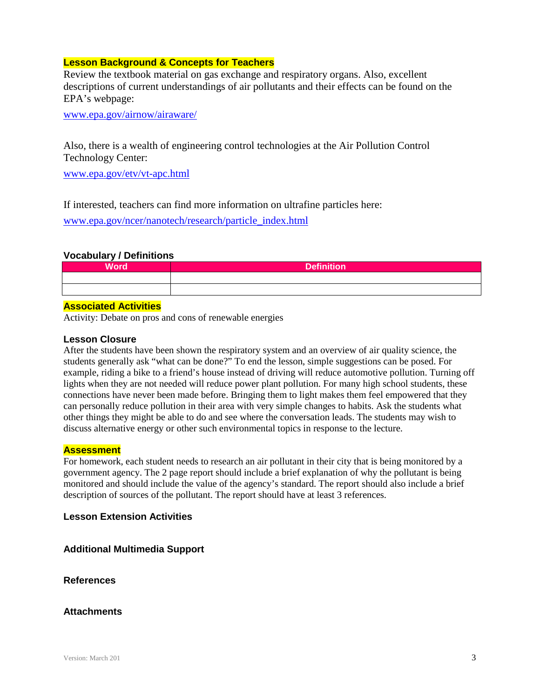# **Lesson Background & Concepts for Teachers**

Review the textbook material on gas exchange and respiratory organs. Also, excellent descriptions of current understandings of air pollutants and their effects can be found on the EPA's webpage:

[www.epa.gov/airnow/airaware/](http://www.epa.gov/airnow/airaware/)

Also, there is a wealth of engineering control technologies at the Air Pollution Control Technology Center:

[www.epa.gov/etv/vt-apc.html](http://www.epa.gov/etv/vt-apc.html)

If interested, teachers can find more information on ultrafine particles here:

[www.epa.gov/ncer/nanotech/research/particle\\_index.html](http://www.epa.gov/ncer/nanotech/research/particle_index.html)



#### **Associated Activities**

Activity: Debate on pros and cons of renewable energies

#### **Lesson Closure**

After the students have been shown the respiratory system and an overview of air quality science, the students generally ask "what can be done?" To end the lesson, simple suggestions can be posed. For example, riding a bike to a friend's house instead of driving will reduce automotive pollution. Turning off lights when they are not needed will reduce power plant pollution. For many high school students, these connections have never been made before. Bringing them to light makes them feel empowered that they can personally reduce pollution in their area with very simple changes to habits. Ask the students what other things they might be able to do and see where the conversation leads. The students may wish to discuss alternative energy or other such environmental topics in response to the lecture.

#### **Assessment**

For homework, each student needs to research an air pollutant in their city that is being monitored by a government agency. The 2 page report should include a brief explanation of why the pollutant is being monitored and should include the value of the agency's standard. The report should also include a brief description of sources of the pollutant. The report should have at least 3 references.

# **Lesson Extension Activities**

# **Additional Multimedia Support**

**References**

# **Attachments**